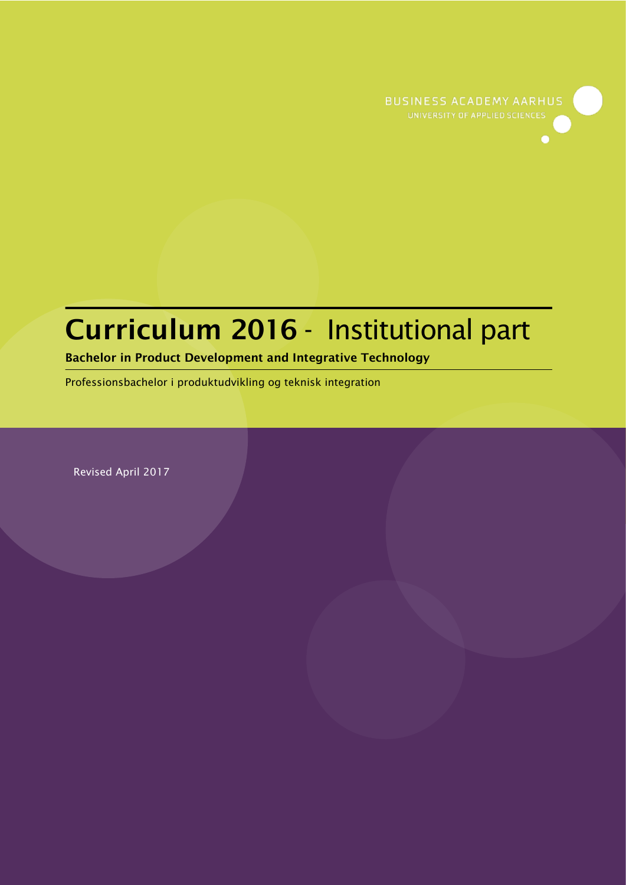

# **Curriculum 2016** - Institutional part

### **Bachelor in Product Development and Integrative Technology**

Professionsbachelor i produktudvikling og teknisk integration

Revised April 2017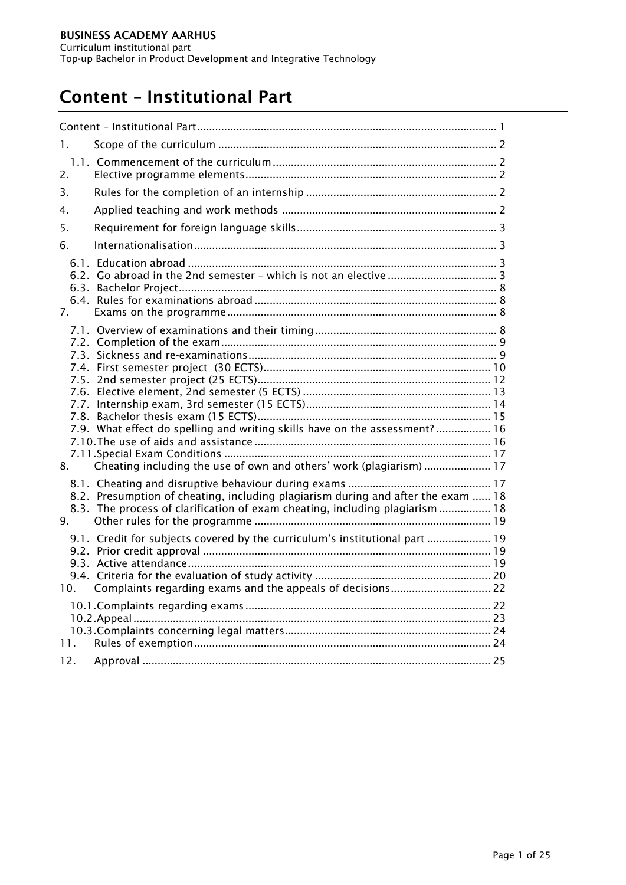# <span id="page-1-0"></span>**Content – Institutional Part**

| 1.  |                                                                                                                                                                  |  |  |  |
|-----|------------------------------------------------------------------------------------------------------------------------------------------------------------------|--|--|--|
| 2.  |                                                                                                                                                                  |  |  |  |
| 3.  |                                                                                                                                                                  |  |  |  |
| 4.  |                                                                                                                                                                  |  |  |  |
| 5.  |                                                                                                                                                                  |  |  |  |
| 6.  |                                                                                                                                                                  |  |  |  |
| 7.  |                                                                                                                                                                  |  |  |  |
|     |                                                                                                                                                                  |  |  |  |
|     | 7.9. What effect do spelling and writing skills have on the assessment?  16                                                                                      |  |  |  |
| 8.  | Cheating including the use of own and others' work (plagiarism)  17                                                                                              |  |  |  |
| 9.  | 8.2. Presumption of cheating, including plagiarism during and after the exam  18<br>8.3. The process of clarification of exam cheating, including plagiarism  18 |  |  |  |
|     | 9.1. Credit for subjects covered by the curriculum's institutional part  19                                                                                      |  |  |  |
|     |                                                                                                                                                                  |  |  |  |
| 11. |                                                                                                                                                                  |  |  |  |
| 12. |                                                                                                                                                                  |  |  |  |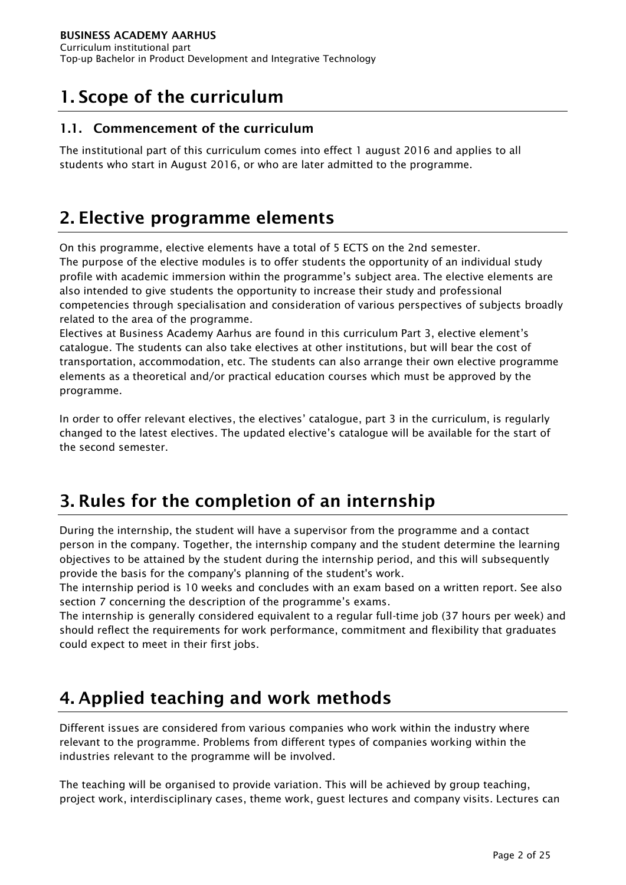# <span id="page-2-0"></span>**1. Scope of the curriculum**

### <span id="page-2-1"></span>**1.1. Commencement of the curriculum**

The institutional part of this curriculum comes into effect 1 august 2016 and applies to all students who start in August 2016, or who are later admitted to the programme.

# <span id="page-2-2"></span>**2. Elective programme elements**

On this programme, elective elements have a total of 5 ECTS on the 2nd semester.

The purpose of the elective modules is to offer students the opportunity of an individual study profile with academic immersion within the programme's subject area. The elective elements are also intended to give students the opportunity to increase their study and professional competencies through specialisation and consideration of various perspectives of subjects broadly related to the area of the programme.

Electives at Business Academy Aarhus are found in this curriculum Part 3, elective element's catalogue. The students can also take electives at other institutions, but will bear the cost of transportation, accommodation, etc. The students can also arrange their own elective programme elements as a theoretical and/or practical education courses which must be approved by the programme.

In order to offer relevant electives, the electives' catalogue, part 3 in the curriculum, is regularly changed to the latest electives. The updated elective's catalogue will be available for the start of the second semester.

# <span id="page-2-3"></span>**3. Rules for the completion of an internship**

During the internship, the student will have a supervisor from the programme and a contact person in the company. Together, the internship company and the student determine the learning objectives to be attained by the student during the internship period, and this will subsequently provide the basis for the company's planning of the student's work.

The internship period is 10 weeks and concludes with an exam based on a written report. See also section 7 concerning the description of the programme's exams.

The internship is generally considered equivalent to a regular full-time job (37 hours per week) and should reflect the requirements for work performance, commitment and flexibility that graduates could expect to meet in their first jobs.

# <span id="page-2-4"></span>**4. Applied teaching and work methods**

Different issues are considered from various companies who work within the industry where relevant to the programme. Problems from different types of companies working within the industries relevant to the programme will be involved.

The teaching will be organised to provide variation. This will be achieved by group teaching, project work, interdisciplinary cases, theme work, guest lectures and company visits. Lectures can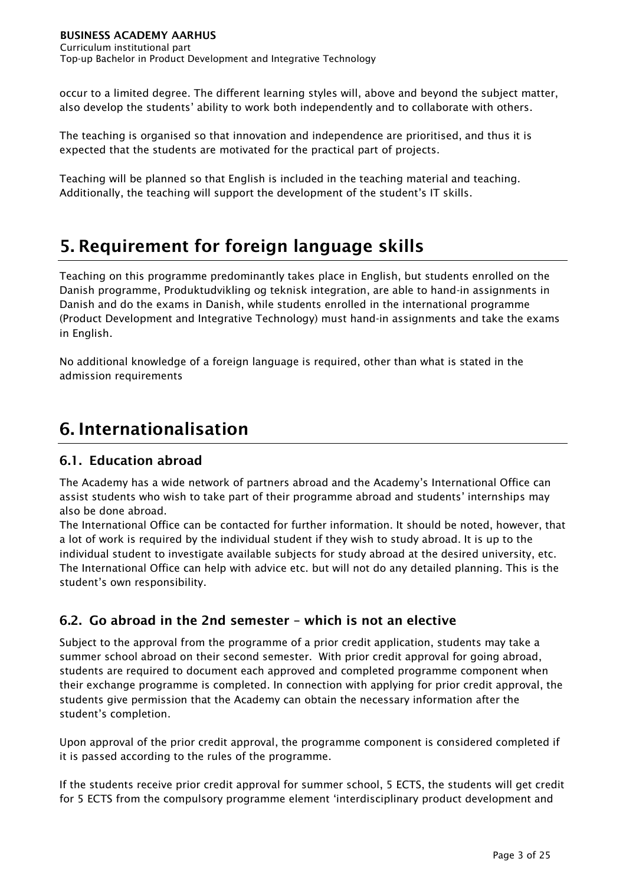occur to a limited degree. The different learning styles will, above and beyond the subject matter, also develop the students' ability to work both independently and to collaborate with others.

The teaching is organised so that innovation and independence are prioritised, and thus it is expected that the students are motivated for the practical part of projects.

Teaching will be planned so that English is included in the teaching material and teaching. Additionally, the teaching will support the development of the student's IT skills.

# <span id="page-3-0"></span>**5. Requirement for foreign language skills**

Teaching on this programme predominantly takes place in English, but students enrolled on the Danish programme, Produktudvikling og teknisk integration, are able to hand-in assignments in Danish and do the exams in Danish, while students enrolled in the international programme (Product Development and Integrative Technology) must hand-in assignments and take the exams in English.

No additional knowledge of a foreign language is required, other than what is stated in the admission requirements

# <span id="page-3-1"></span>**6. Internationalisation**

# <span id="page-3-2"></span>**6.1. Education abroad**

The Academy has a wide network of partners abroad and the Academy's International Office can assist students who wish to take part of their programme abroad and students' internships may also be done abroad.

The International Office can be contacted for further information. It should be noted, however, that a lot of work is required by the individual student if they wish to study abroad. It is up to the individual student to investigate available subjects for study abroad at the desired university, etc. The International Office can help with advice etc. but will not do any detailed planning. This is the student's own responsibility.

# <span id="page-3-3"></span>**6.2. Go abroad in the 2nd semester – which is not an elective**

Subject to the approval from the programme of a prior credit application, students may take a summer school abroad on their second semester. With prior credit approval for going abroad, students are required to document each approved and completed programme component when their exchange programme is completed. In connection with applying for prior credit approval, the students give permission that the Academy can obtain the necessary information after the student's completion.

Upon approval of the prior credit approval, the programme component is considered completed if it is passed according to the rules of the programme.

If the students receive prior credit approval for summer school, 5 ECTS, the students will get credit for 5 ECTS from the compulsory programme element 'interdisciplinary product development and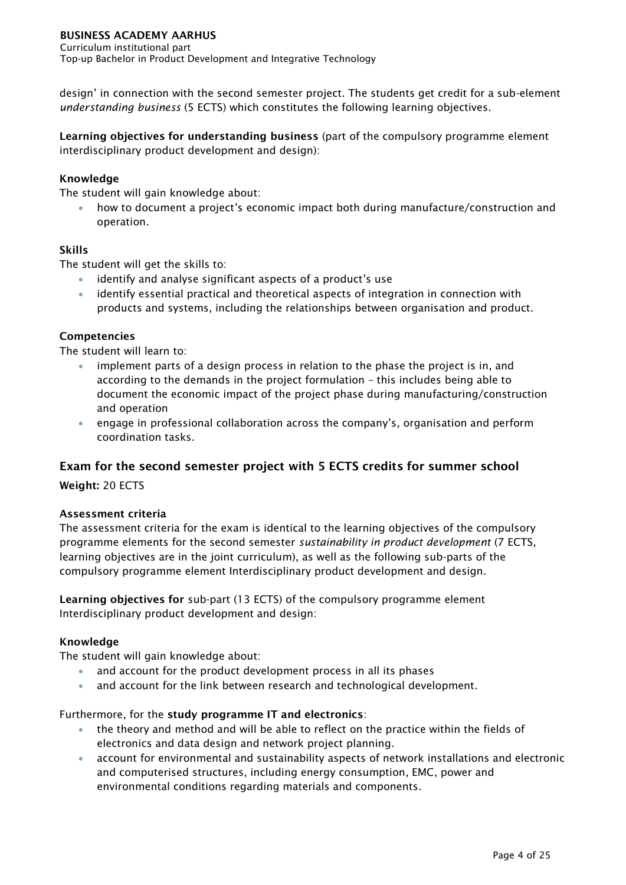Curriculum institutional part Top-up Bachelor in Product Development and Integrative Technology

design' in connection with the second semester project. The students get credit for a sub-element *understanding business* (5 ECTS) which constitutes the following learning objectives.

**Learning objectives for understanding business** (part of the compulsory programme element interdisciplinary product development and design):

#### **Knowledge**

The student will gain knowledge about:

 how to document a project's economic impact both during manufacture/construction and operation.

#### **Skills**

The student will get the skills to:

- identify and analyse significant aspects of a product's use
- identify essential practical and theoretical aspects of integration in connection with products and systems, including the relationships between organisation and product.

#### **Competencies**

The student will learn to:

- implement parts of a design process in relation to the phase the project is in, and according to the demands in the project formulation – this includes being able to document the economic impact of the project phase during manufacturing/construction and operation
- engage in professional collaboration across the company's, organisation and perform coordination tasks.

#### **Exam for the second semester project with 5 ECTS credits for summer school**

**Weight:** 20 ECTS

#### **Assessment criteria**

The assessment criteria for the exam is identical to the learning objectives of the compulsory programme elements for the second semester *sustainability in product development* (7 ECTS, learning objectives are in the joint curriculum), as well as the following sub-parts of the compulsory programme element Interdisciplinary product development and design.

**Learning objectives for** sub-part (13 ECTS) of the compulsory programme element Interdisciplinary product development and design:

#### **Knowledge**

The student will gain knowledge about:

- and account for the product development process in all its phases
- and account for the link between research and technological development.

#### Furthermore, for the **study programme IT and electronics**:

- the theory and method and will be able to reflect on the practice within the fields of electronics and data design and network project planning.
- account for environmental and sustainability aspects of network installations and electronic and computerised structures, including energy consumption, EMC, power and environmental conditions regarding materials and components.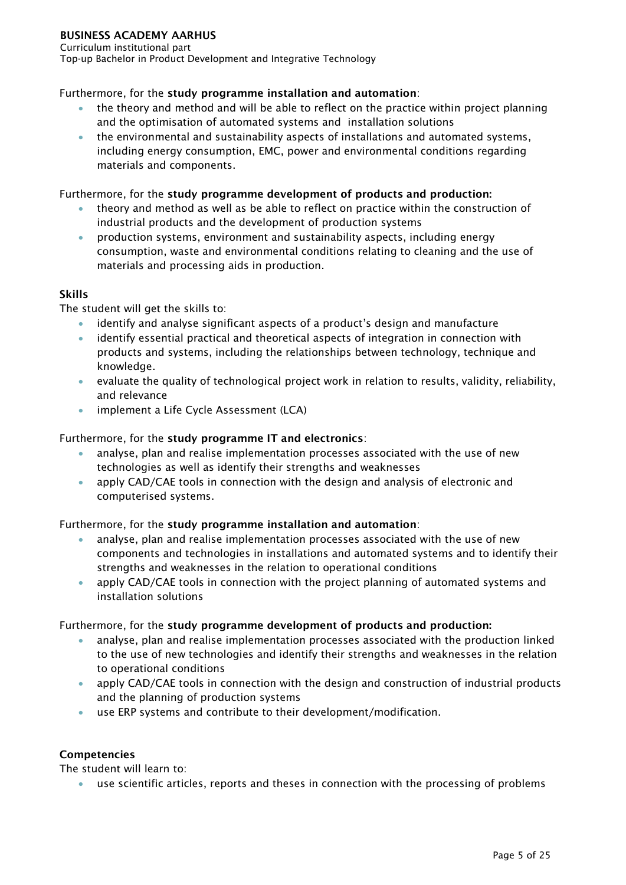Curriculum institutional part Top-up Bachelor in Product Development and Integrative Technology

#### Furthermore, for the **study programme installation and automation**:

- the theory and method and will be able to reflect on the practice within project planning and the optimisation of automated systems and installation solutions
- the environmental and sustainability aspects of installations and automated systems, including energy consumption, EMC, power and environmental conditions regarding materials and components.

#### Furthermore, for the **study programme development of products and production:**

- theory and method as well as be able to reflect on practice within the construction of industrial products and the development of production systems
- production systems, environment and sustainability aspects, including energy consumption, waste and environmental conditions relating to cleaning and the use of materials and processing aids in production.

#### **Skills**

The student will get the skills to:

- identify and analyse significant aspects of a product's design and manufacture
- identify essential practical and theoretical aspects of integration in connection with products and systems, including the relationships between technology, technique and knowledge.
- evaluate the quality of technological project work in relation to results, validity, reliability, and relevance
- **•** implement a Life Cycle Assessment (LCA)

#### Furthermore, for the **study programme IT and electronics**:

- analyse, plan and realise implementation processes associated with the use of new technologies as well as identify their strengths and weaknesses
- apply CAD/CAE tools in connection with the design and analysis of electronic and computerised systems.

#### Furthermore, for the **study programme installation and automation**:

- analyse, plan and realise implementation processes associated with the use of new components and technologies in installations and automated systems and to identify their strengths and weaknesses in the relation to operational conditions
- apply CAD/CAE tools in connection with the project planning of automated systems and installation solutions

#### Furthermore, for the **study programme development of products and production:**

- analyse, plan and realise implementation processes associated with the production linked to the use of new technologies and identify their strengths and weaknesses in the relation to operational conditions
- apply CAD/CAE tools in connection with the design and construction of industrial products and the planning of production systems
- use ERP systems and contribute to their development/modification.

#### **Competencies**

The student will learn to:

use scientific articles, reports and theses in connection with the processing of problems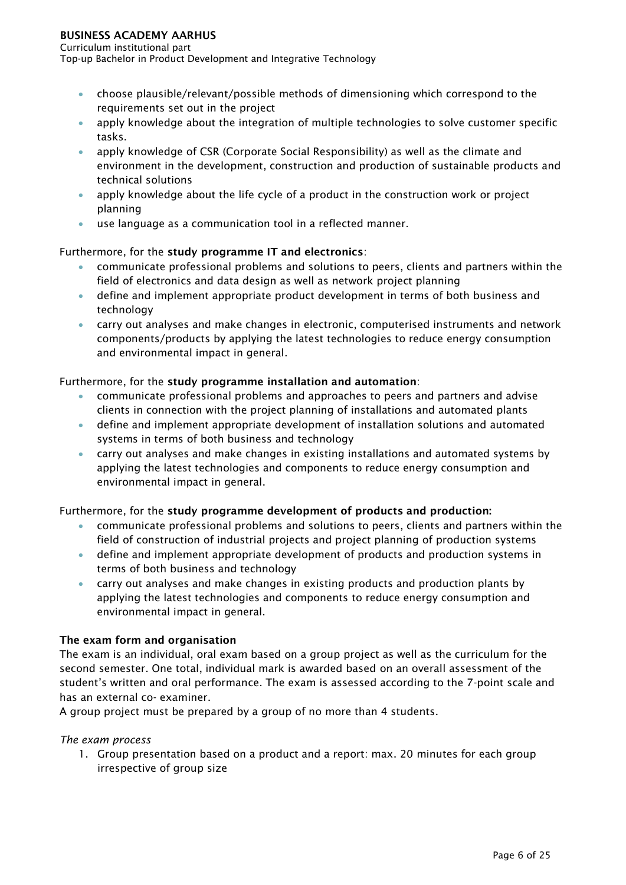#### Curriculum institutional part

Top-up Bachelor in Product Development and Integrative Technology

- choose plausible/relevant/possible methods of dimensioning which correspond to the requirements set out in the project
- apply knowledge about the integration of multiple technologies to solve customer specific tasks.
- apply knowledge of CSR (Corporate Social Responsibility) as well as the climate and environment in the development, construction and production of sustainable products and technical solutions
- apply knowledge about the life cycle of a product in the construction work or project planning
- use language as a communication tool in a reflected manner.

#### Furthermore, for the **study programme IT and electronics**:

- communicate professional problems and solutions to peers, clients and partners within the field of electronics and data design as well as network project planning
- define and implement appropriate product development in terms of both business and technology
- carry out analyses and make changes in electronic, computerised instruments and network components/products by applying the latest technologies to reduce energy consumption and environmental impact in general.

#### Furthermore, for the **study programme installation and automation**:

- communicate professional problems and approaches to peers and partners and advise clients in connection with the project planning of installations and automated plants
- define and implement appropriate development of installation solutions and automated systems in terms of both business and technology
- carry out analyses and make changes in existing installations and automated systems by applying the latest technologies and components to reduce energy consumption and environmental impact in general.

#### Furthermore, for the **study programme development of products and production:**

- communicate professional problems and solutions to peers, clients and partners within the field of construction of industrial projects and project planning of production systems
- define and implement appropriate development of products and production systems in terms of both business and technology
- carry out analyses and make changes in existing products and production plants by applying the latest technologies and components to reduce energy consumption and environmental impact in general.

#### **The exam form and organisation**

The exam is an individual, oral exam based on a group project as well as the curriculum for the second semester. One total, individual mark is awarded based on an overall assessment of the student's written and oral performance. The exam is assessed according to the 7-point scale and has an external co- examiner.

A group project must be prepared by a group of no more than 4 students.

#### *The exam process*

1. Group presentation based on a product and a report: max. 20 minutes for each group irrespective of group size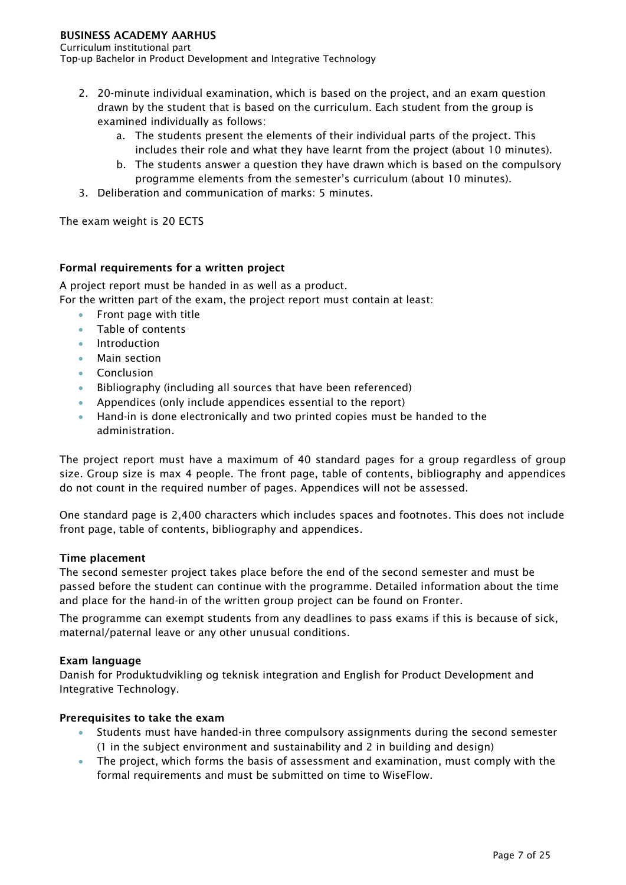Curriculum institutional part

Top-up Bachelor in Product Development and Integrative Technology

- 2. 20-minute individual examination, which is based on the project, and an exam question drawn by the student that is based on the curriculum. Each student from the group is examined individually as follows:
	- a. The students present the elements of their individual parts of the project. This includes their role and what they have learnt from the project (about 10 minutes).
	- b. The students answer a question they have drawn which is based on the compulsory programme elements from the semester's curriculum (about 10 minutes).
- 3. Deliberation and communication of marks: 5 minutes.

The exam weight is 20 ECTS

#### **Formal requirements for a written project**

A project report must be handed in as well as a product.

For the written part of the exam, the project report must contain at least:

- Front page with title
- Table of contents
- Introduction
- Main section
- **Conclusion**
- Bibliography (including all sources that have been referenced)
- Appendices (only include appendices essential to the report)
- Hand-in is done electronically and two printed copies must be handed to the administration.

The project report must have a maximum of 40 standard pages for a group regardless of group size. Group size is max 4 people. The front page, table of contents, bibliography and appendices do not count in the required number of pages. Appendices will not be assessed.

One standard page is 2,400 characters which includes spaces and footnotes. This does not include front page, table of contents, bibliography and appendices.

#### **Time placement**

The second semester project takes place before the end of the second semester and must be passed before the student can continue with the programme. Detailed information about the time and place for the hand-in of the written group project can be found on Fronter.

The programme can exempt students from any deadlines to pass exams if this is because of sick, maternal/paternal leave or any other unusual conditions.

#### **Exam language**

Danish for Produktudvikling og teknisk integration and English for Product Development and Integrative Technology.

#### **Prerequisites to take the exam**

- Students must have handed-in three compulsory assignments during the second semester (1 in the subject environment and sustainability and 2 in building and design)
- The project, which forms the basis of assessment and examination, must comply with the formal requirements and must be submitted on time to WiseFlow.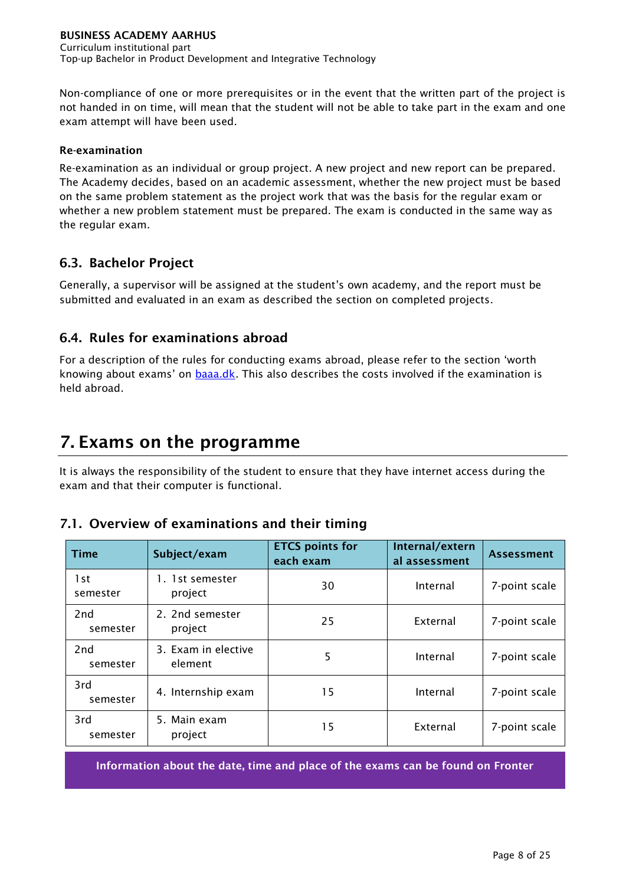Non-compliance of one or more prerequisites or in the event that the written part of the project is not handed in on time, will mean that the student will not be able to take part in the exam and one exam attempt will have been used.

#### **Re-examination**

Re-examination as an individual or group project. A new project and new report can be prepared. The Academy decides, based on an academic assessment, whether the new project must be based on the same problem statement as the project work that was the basis for the regular exam or whether a new problem statement must be prepared. The exam is conducted in the same way as the regular exam.

### <span id="page-8-0"></span>**6.3. Bachelor Project**

Generally, a supervisor will be assigned at the student's own academy, and the report must be submitted and evaluated in an exam as described the section on completed projects.

# <span id="page-8-1"></span>**6.4. Rules for examinations abroad**

For a description of the rules for conducting exams abroad, please refer to the section 'worth knowing about exams' on [baaa.dk.](http://www.eaaa.dk/) This also describes the costs involved if the examination is held abroad.

# <span id="page-8-2"></span>**7. Exams on the programme**

It is always the responsibility of the student to ensure that they have internet access during the exam and that their computer is functional.

### <span id="page-8-3"></span>**7.1. Overview of examinations and their timing**

| <b>Time</b>     | Subject/exam                   | <b>ETCS points for</b><br>each exam | Internal/extern<br>al assessment | <b>Assessment</b> |
|-----------------|--------------------------------|-------------------------------------|----------------------------------|-------------------|
| 1st<br>semester | 1. 1st semester<br>project     | 30                                  | Internal                         | 7-point scale     |
| 2nd<br>semester | 2. 2nd semester<br>project     | 25                                  | External                         | 7-point scale     |
| 2nd<br>semester | 3. Exam in elective<br>element | 5                                   | Internal                         | 7-point scale     |
| 3rd<br>semester | 4. Internship exam             | 15                                  | Internal                         | 7-point scale     |
| 3rd<br>semester | 5. Main exam<br>project        | 15                                  | External                         | 7-point scale     |

**Information about the date, time and place of the exams can be found on Fronter**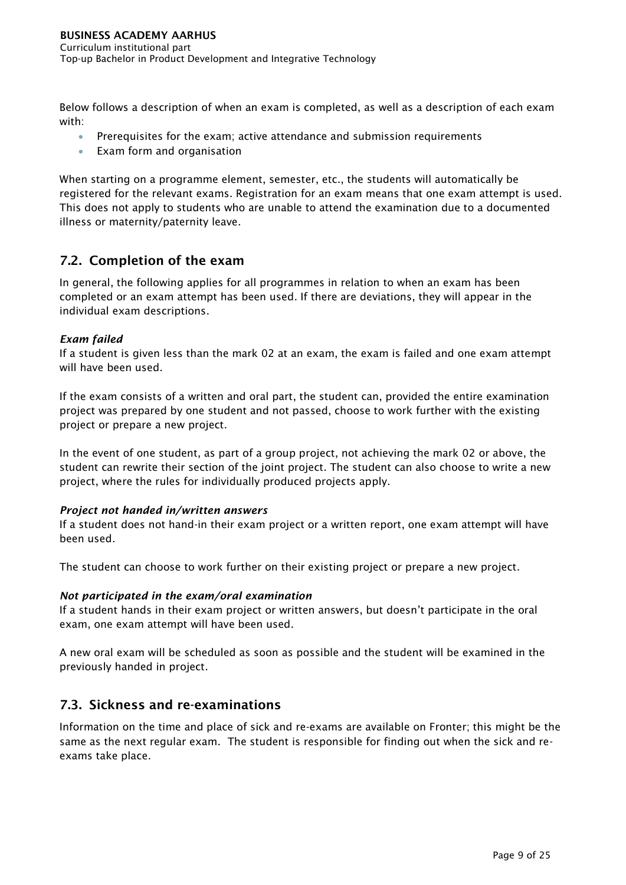Below follows a description of when an exam is completed, as well as a description of each exam with:

- Prerequisites for the exam; active attendance and submission requirements
- Exam form and organisation

When starting on a programme element, semester, etc., the students will automatically be registered for the relevant exams. Registration for an exam means that one exam attempt is used. This does not apply to students who are unable to attend the examination due to a documented illness or maternity/paternity leave.

# <span id="page-9-0"></span>**7.2. Completion of the exam**

In general, the following applies for all programmes in relation to when an exam has been completed or an exam attempt has been used. If there are deviations, they will appear in the individual exam descriptions.

#### *Exam failed*

If a student is given less than the mark 02 at an exam, the exam is failed and one exam attempt will have been used.

If the exam consists of a written and oral part, the student can, provided the entire examination project was prepared by one student and not passed, choose to work further with the existing project or prepare a new project.

In the event of one student, as part of a group project, not achieving the mark 02 or above, the student can rewrite their section of the joint project. The student can also choose to write a new project, where the rules for individually produced projects apply.

#### *Project not handed in/written answers*

If a student does not hand-in their exam project or a written report, one exam attempt will have been used.

The student can choose to work further on their existing project or prepare a new project.

#### *Not participated in the exam/oral examination*

If a student hands in their exam project or written answers, but doesn't participate in the oral exam, one exam attempt will have been used.

A new oral exam will be scheduled as soon as possible and the student will be examined in the previously handed in project.

### <span id="page-9-1"></span>**7.3. Sickness and re-examinations**

Information on the time and place of sick and re-exams are available on Fronter; this might be the same as the next regular exam. The student is responsible for finding out when the sick and reexams take place.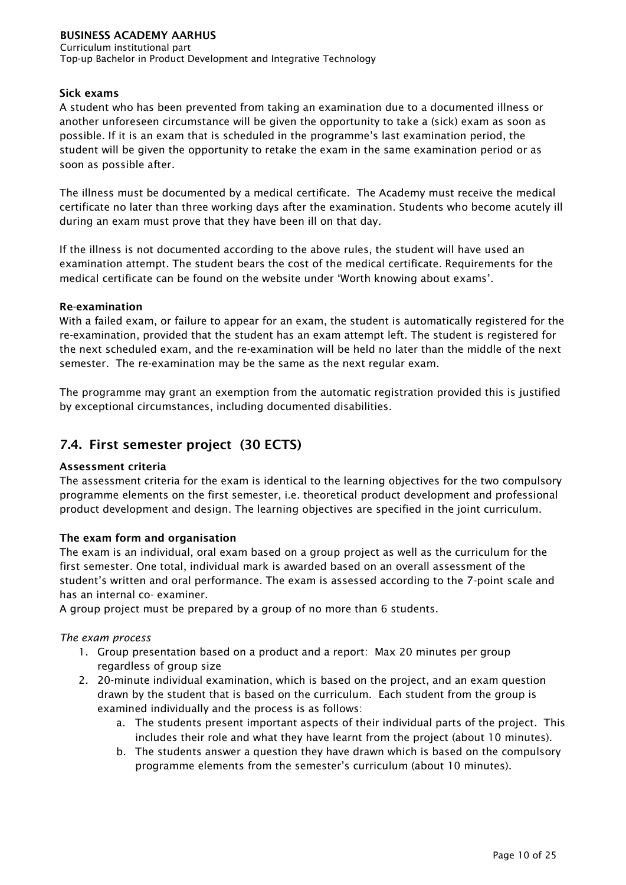Curriculum institutional part Top-up Bachelor in Product Development and Integrative Technology

#### **Sick exams**

A student who has been prevented from taking an examination due to a documented illness or another unforeseen circumstance will be given the opportunity to take a (sick) exam as soon as possible. If it is an exam that is scheduled in the programme's last examination period, the student will be given the opportunity to retake the exam in the same examination period or as soon as possible after.

The illness must be documented by a medical certificate. The Academy must receive the medical certificate no later than three working days after the examination. Students who become acutely ill during an exam must prove that they have been ill on that day.

If the illness is not documented according to the above rules, the student will have used an examination attempt. The student bears the cost of the medical certificate. Requirements for the medical certificate can be found on the website under 'Worth knowing about exams'.

#### **Re-examination**

With a failed exam, or failure to appear for an exam, the student is automatically registered for the re-examination, provided that the student has an exam attempt left. The student is registered for the next scheduled exam, and the re-examination will be held no later than the middle of the next semester. The re-examination may be the same as the next regular exam.

The programme may grant an exemption from the automatic registration provided this is justified by exceptional circumstances, including documented disabilities.

# <span id="page-10-0"></span>**7.4. First semester project (30 ECTS)**

#### **Assessment criteria**

The assessment criteria for the exam is identical to the learning objectives for the two compulsory programme elements on the first semester, i.e. theoretical product development and professional product development and design. The learning objectives are specified in the joint curriculum.

#### **The exam form and organisation**

The exam is an individual, oral exam based on a group project as well as the curriculum for the first semester. One total, individual mark is awarded based on an overall assessment of the student's written and oral performance. The exam is assessed according to the 7-point scale and has an internal co- examiner.

A group project must be prepared by a group of no more than 6 students.

#### *The exam process*

- 1. Group presentation based on a product and a report: Max 20 minutes per group regardless of group size
- 2. 20-minute individual examination, which is based on the project, and an exam question drawn by the student that is based on the curriculum. Each student from the group is examined individually and the process is as follows:
	- a. The students present important aspects of their individual parts of the project. This includes their role and what they have learnt from the project (about 10 minutes).
	- b. The students answer a question they have drawn which is based on the compulsory programme elements from the semester's curriculum (about 10 minutes).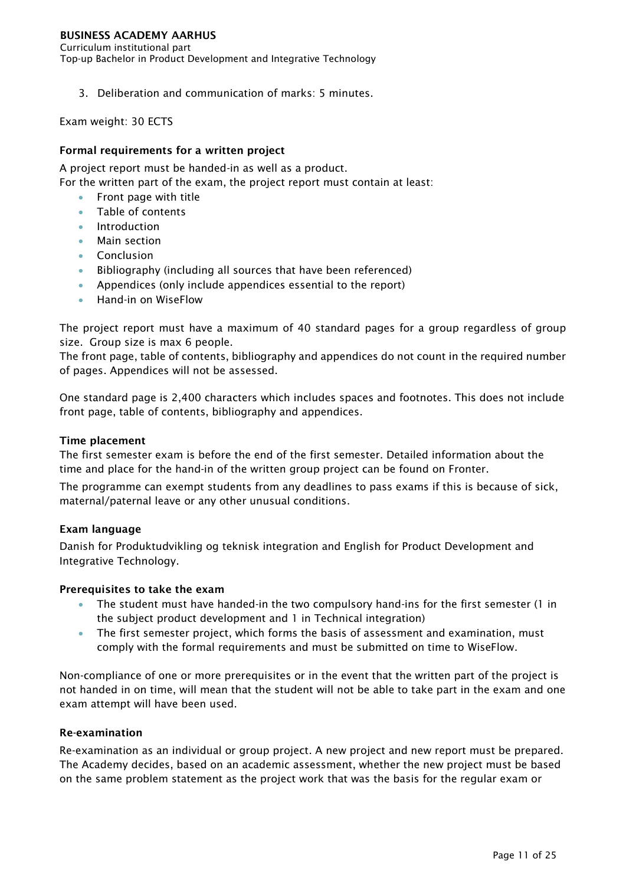Curriculum institutional part Top-up Bachelor in Product Development and Integrative Technology

3. Deliberation and communication of marks: 5 minutes.

Exam weight: 30 ECTS

#### **Formal requirements for a written project**

A project report must be handed-in as well as a product. For the written part of the exam, the project report must contain at least:

- Front page with title
- Table of contents
- Introduction
- Main section
- Conclusion
- Bibliography (including all sources that have been referenced)
- Appendices (only include appendices essential to the report)
- **•** Hand-in on WiseFlow

The project report must have a maximum of 40 standard pages for a group regardless of group size. Group size is max 6 people.

The front page, table of contents, bibliography and appendices do not count in the required number of pages. Appendices will not be assessed.

One standard page is 2,400 characters which includes spaces and footnotes. This does not include front page, table of contents, bibliography and appendices.

#### **Time placement**

The first semester exam is before the end of the first semester. Detailed information about the time and place for the hand-in of the written group project can be found on Fronter.

The programme can exempt students from any deadlines to pass exams if this is because of sick, maternal/paternal leave or any other unusual conditions.

#### **Exam language**

Danish for Produktudvikling og teknisk integration and English for Product Development and Integrative Technology.

#### **Prerequisites to take the exam**

- The student must have handed-in the two compulsory hand-ins for the first semester (1 in the subject product development and 1 in Technical integration)
- The first semester project, which forms the basis of assessment and examination, must comply with the formal requirements and must be submitted on time to WiseFlow.

Non-compliance of one or more prerequisites or in the event that the written part of the project is not handed in on time, will mean that the student will not be able to take part in the exam and one exam attempt will have been used.

#### **Re-examination**

Re-examination as an individual or group project. A new project and new report must be prepared. The Academy decides, based on an academic assessment, whether the new project must be based on the same problem statement as the project work that was the basis for the regular exam or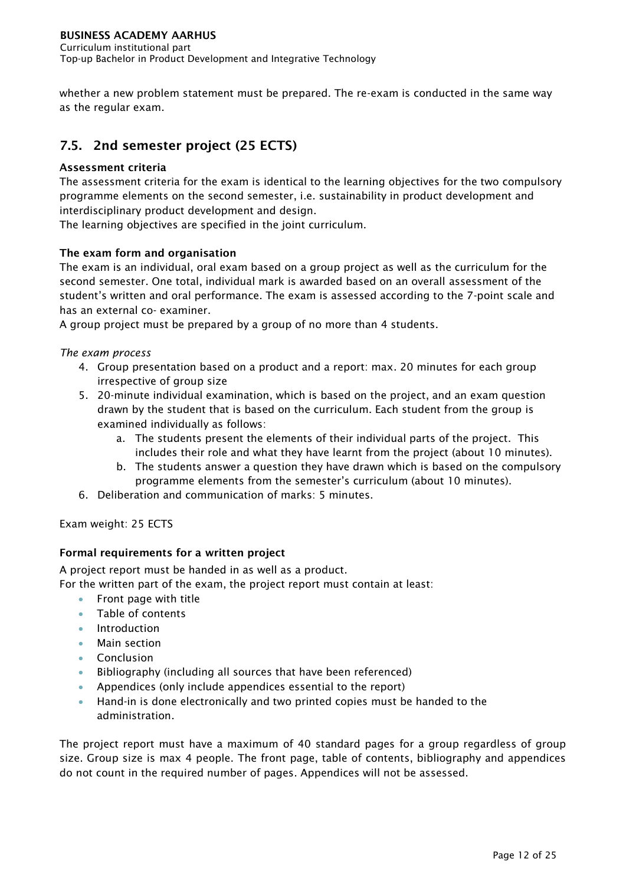Curriculum institutional part Top-up Bachelor in Product Development and Integrative Technology

whether a new problem statement must be prepared. The re-exam is conducted in the same way as the regular exam.

# <span id="page-12-0"></span>**7.5. 2nd semester project (25 ECTS)**

#### **Assessment criteria**

The assessment criteria for the exam is identical to the learning objectives for the two compulsory programme elements on the second semester, i.e. sustainability in product development and interdisciplinary product development and design.

The learning objectives are specified in the joint curriculum.

#### **The exam form and organisation**

The exam is an individual, oral exam based on a group project as well as the curriculum for the second semester. One total, individual mark is awarded based on an overall assessment of the student's written and oral performance. The exam is assessed according to the 7-point scale and has an external co- examiner.

A group project must be prepared by a group of no more than 4 students.

#### *The exam process*

- 4. Group presentation based on a product and a report: max. 20 minutes for each group irrespective of group size
- 5. 20-minute individual examination, which is based on the project, and an exam question drawn by the student that is based on the curriculum. Each student from the group is examined individually as follows:
	- a. The students present the elements of their individual parts of the project. This includes their role and what they have learnt from the project (about 10 minutes).
	- b. The students answer a question they have drawn which is based on the compulsory programme elements from the semester's curriculum (about 10 minutes).
- 6. Deliberation and communication of marks: 5 minutes.

Exam weight: 25 ECTS

#### **Formal requirements for a written project**

A project report must be handed in as well as a product.

For the written part of the exam, the project report must contain at least:

- Front page with title
- Table of contents
- Introduction
- Main section
- Conclusion
- Bibliography (including all sources that have been referenced)
- Appendices (only include appendices essential to the report)
- Hand-in is done electronically and two printed copies must be handed to the administration.

The project report must have a maximum of 40 standard pages for a group regardless of group size. Group size is max 4 people. The front page, table of contents, bibliography and appendices do not count in the required number of pages. Appendices will not be assessed.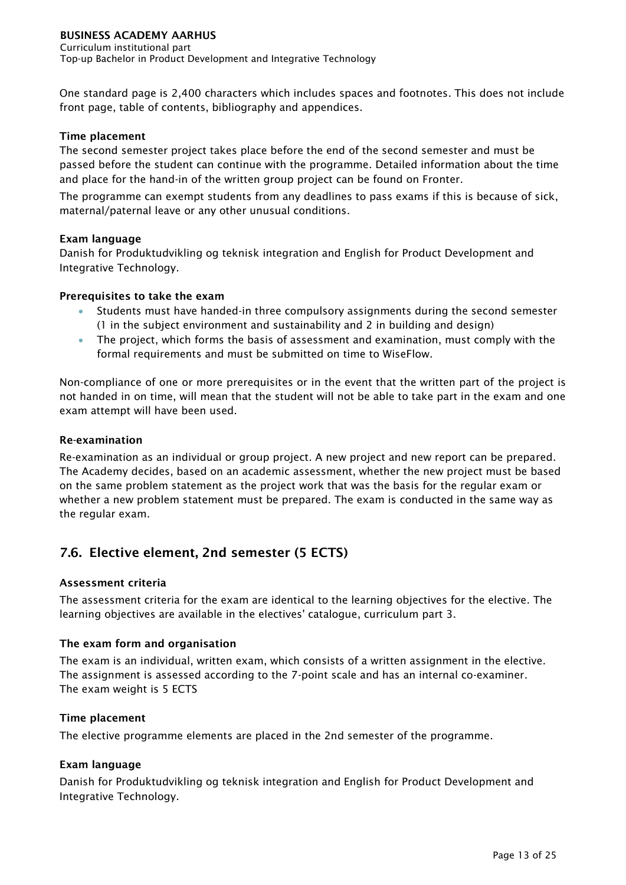One standard page is 2,400 characters which includes spaces and footnotes. This does not include front page, table of contents, bibliography and appendices.

#### **Time placement**

The second semester project takes place before the end of the second semester and must be passed before the student can continue with the programme. Detailed information about the time and place for the hand-in of the written group project can be found on Fronter.

The programme can exempt students from any deadlines to pass exams if this is because of sick, maternal/paternal leave or any other unusual conditions.

#### **Exam language**

Danish for Produktudvikling og teknisk integration and English for Product Development and Integrative Technology.

#### **Prerequisites to take the exam**

- Students must have handed-in three compulsory assignments during the second semester (1 in the subject environment and sustainability and 2 in building and design)
- The project, which forms the basis of assessment and examination, must comply with the formal requirements and must be submitted on time to WiseFlow.

Non-compliance of one or more prerequisites or in the event that the written part of the project is not handed in on time, will mean that the student will not be able to take part in the exam and one exam attempt will have been used.

#### **Re-examination**

Re-examination as an individual or group project. A new project and new report can be prepared. The Academy decides, based on an academic assessment, whether the new project must be based on the same problem statement as the project work that was the basis for the regular exam or whether a new problem statement must be prepared. The exam is conducted in the same way as the regular exam.

# <span id="page-13-0"></span>**7.6. Elective element, 2nd semester (5 ECTS)**

#### **Assessment criteria**

The assessment criteria for the exam are identical to the learning objectives for the elective. The learning objectives are available in the electives' catalogue, curriculum part 3.

#### **The exam form and organisation**

The exam is an individual, written exam, which consists of a written assignment in the elective. The assignment is assessed according to the 7-point scale and has an internal co-examiner. The exam weight is 5 ECTS

#### **Time placement**

The elective programme elements are placed in the 2nd semester of the programme.

#### **Exam language**

Danish for Produktudvikling og teknisk integration and English for Product Development and Integrative Technology.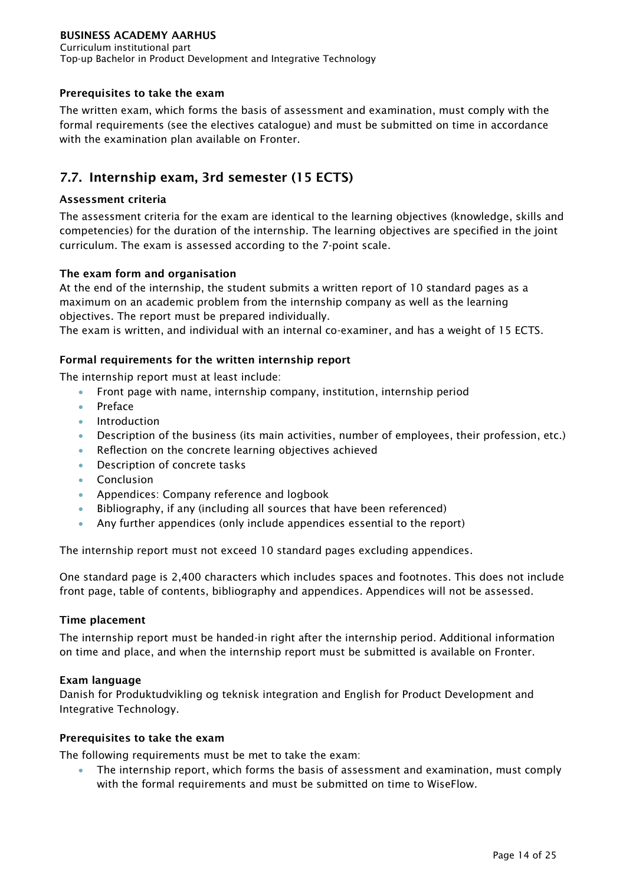Curriculum institutional part Top-up Bachelor in Product Development and Integrative Technology

#### **Prerequisites to take the exam**

The written exam, which forms the basis of assessment and examination, must comply with the formal requirements (see the electives catalogue) and must be submitted on time in accordance with the examination plan available on Fronter.

# <span id="page-14-0"></span>**7.7. Internship exam, 3rd semester (15 ECTS)**

#### **Assessment criteria**

The assessment criteria for the exam are identical to the learning objectives (knowledge, skills and competencies) for the duration of the internship. The learning objectives are specified in the joint curriculum. The exam is assessed according to the 7-point scale.

#### **The exam form and organisation**

At the end of the internship, the student submits a written report of 10 standard pages as a maximum on an academic problem from the internship company as well as the learning objectives. The report must be prepared individually.

The exam is written, and individual with an internal co-examiner, and has a weight of 15 ECTS.

#### **Formal requirements for the written internship report**

The internship report must at least include:

- Front page with name, internship company, institution, internship period
- Preface
- Introduction
- Description of the business (its main activities, number of employees, their profession, etc.)
- Reflection on the concrete learning objectives achieved
- Description of concrete tasks
- **Conclusion**
- Appendices: Company reference and logbook
- Bibliography, if any (including all sources that have been referenced)
- Any further appendices (only include appendices essential to the report)

The internship report must not exceed 10 standard pages excluding appendices.

One standard page is 2,400 characters which includes spaces and footnotes. This does not include front page, table of contents, bibliography and appendices. Appendices will not be assessed.

#### **Time placement**

The internship report must be handed-in right after the internship period. Additional information on time and place, and when the internship report must be submitted is available on Fronter.

#### **Exam language**

Danish for Produktudvikling og teknisk integration and English for Product Development and Integrative Technology.

#### **Prerequisites to take the exam**

The following requirements must be met to take the exam:

 The internship report, which forms the basis of assessment and examination, must comply with the formal requirements and must be submitted on time to WiseFlow.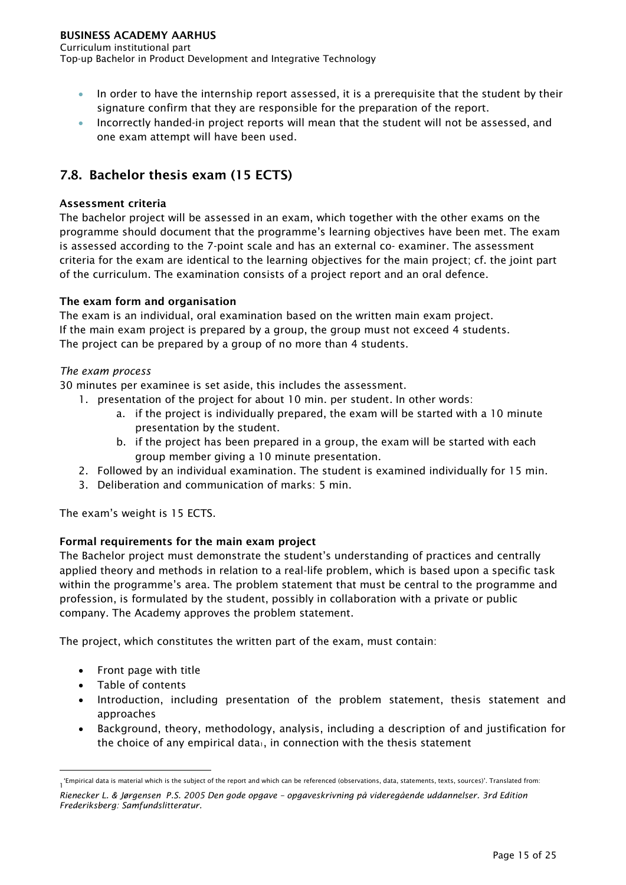Curriculum institutional part Top-up Bachelor in Product Development and Integrative Technology

- In order to have the internship report assessed, it is a prerequisite that the student by their signature confirm that they are responsible for the preparation of the report.
- Incorrectly handed-in project reports will mean that the student will not be assessed, and one exam attempt will have been used.

# <span id="page-15-0"></span>**7.8. Bachelor thesis exam (15 ECTS)**

#### **Assessment criteria**

The bachelor project will be assessed in an exam, which together with the other exams on the programme should document that the programme's learning objectives have been met. The exam is assessed according to the 7-point scale and has an external co- examiner. The assessment criteria for the exam are identical to the learning objectives for the main project; cf. the joint part of the curriculum. The examination consists of a project report and an oral defence.

#### **The exam form and organisation**

The exam is an individual, oral examination based on the written main exam project. If the main exam project is prepared by a group, the group must not exceed 4 students. The project can be prepared by a group of no more than 4 students.

#### *The exam process*

30 minutes per examinee is set aside, this includes the assessment.

- 1. presentation of the project for about 10 min. per student. In other words:
	- a. if the project is individually prepared, the exam will be started with a 10 minute presentation by the student.
	- b. if the project has been prepared in a group, the exam will be started with each group member giving a 10 minute presentation.
- 2. Followed by an individual examination. The student is examined individually for 15 min.
- 3. Deliberation and communication of marks: 5 min.

The exam's weight is 15 ECTS.

#### **Formal requirements for the main exam project**

The Bachelor project must demonstrate the student's understanding of practices and centrally applied theory and methods in relation to a real-life problem, which is based upon a specific task within the programme's area. The problem statement that must be central to the programme and profession, is formulated by the student, possibly in collaboration with a private or public company. The Academy approves the problem statement.

The project, which constitutes the written part of the exam, must contain:

- Front page with title
- Table of contents

-

- Introduction, including presentation of the problem statement, thesis statement and approaches
- Background, theory, methodology, analysis, including a description of and justification for the choice of any empirical data<sub>1</sub>, in connection with the thesis statement

<sup>, &#</sup>x27;Empirical data is material which is the subject of the report and which can be referenced (observations, data, statements, texts, sources)'. Translated from:<br>I

*Rienecker L. & Jørgensen P.S. 2005 Den gode opgave – opgaveskrivning på videregående uddannelser. 3rd Edition Frederiksberg: Samfundslitteratur.*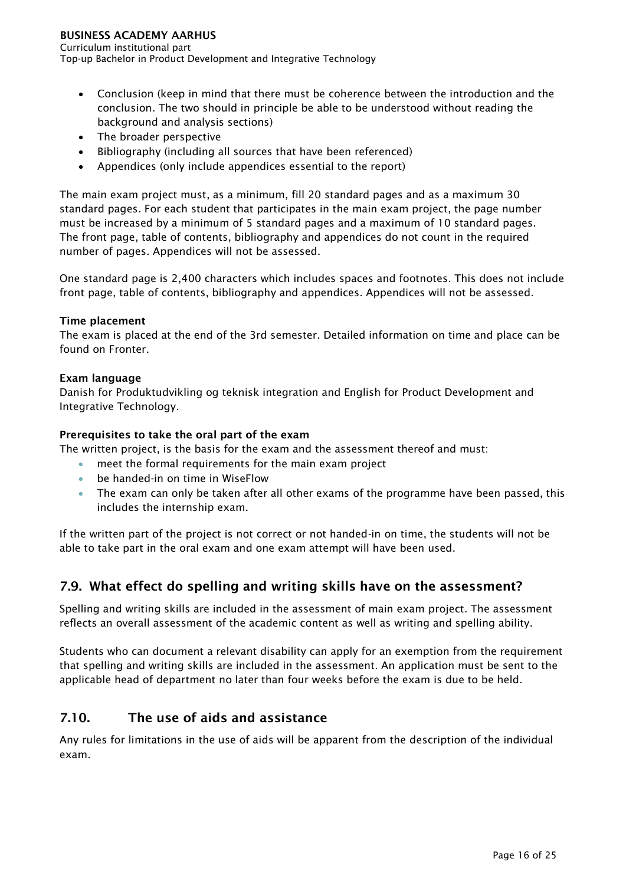Curriculum institutional part Top-up Bachelor in Product Development and Integrative Technology

- Conclusion (keep in mind that there must be coherence between the introduction and the conclusion. The two should in principle be able to be understood without reading the background and analysis sections)
- The broader perspective
- Bibliography (including all sources that have been referenced)
- Appendices (only include appendices essential to the report)

The main exam project must, as a minimum, fill 20 standard pages and as a maximum 30 standard pages. For each student that participates in the main exam project, the page number must be increased by a minimum of 5 standard pages and a maximum of 10 standard pages. The front page, table of contents, bibliography and appendices do not count in the required number of pages. Appendices will not be assessed.

One standard page is 2,400 characters which includes spaces and footnotes. This does not include front page, table of contents, bibliography and appendices. Appendices will not be assessed.

#### **Time placement**

The exam is placed at the end of the 3rd semester. Detailed information on time and place can be found on Fronter.

#### **Exam language**

Danish for Produktudvikling og teknisk integration and English for Product Development and Integrative Technology.

#### **Prerequisites to take the oral part of the exam**

The written project, is the basis for the exam and the assessment thereof and must:

- meet the formal requirements for the main exam project
- be handed-in on time in WiseFlow
- The exam can only be taken after all other exams of the programme have been passed, this includes the internship exam.

If the written part of the project is not correct or not handed-in on time, the students will not be able to take part in the oral exam and one exam attempt will have been used.

### <span id="page-16-0"></span>**7.9. What effect do spelling and writing skills have on the assessment?**

Spelling and writing skills are included in the assessment of main exam project. The assessment reflects an overall assessment of the academic content as well as writing and spelling ability.

Students who can document a relevant disability can apply for an exemption from the requirement that spelling and writing skills are included in the assessment. An application must be sent to the applicable head of department no later than four weeks before the exam is due to be held.

# <span id="page-16-1"></span>**7.10. The use of aids and assistance**

Any rules for limitations in the use of aids will be apparent from the description of the individual exam.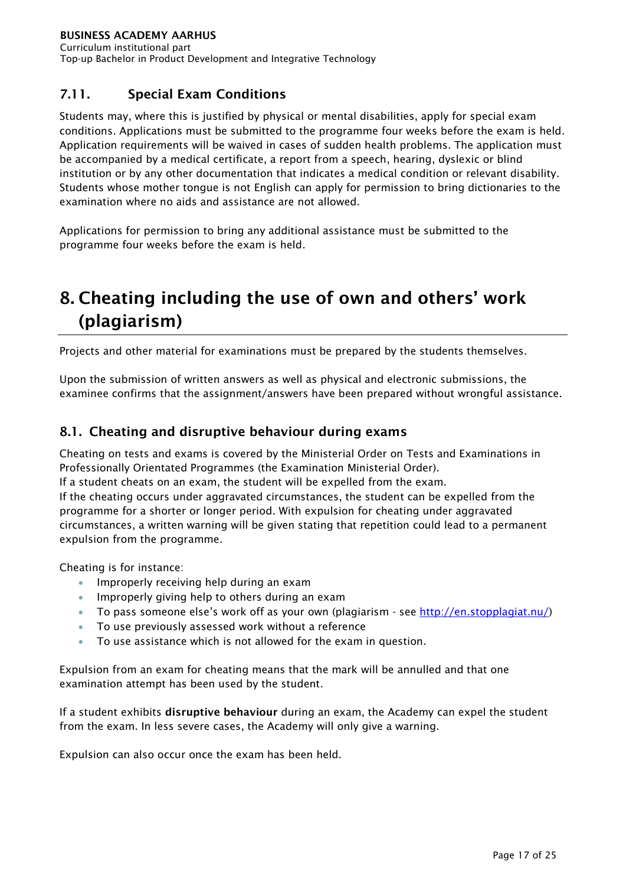# <span id="page-17-0"></span>**7.11. Special Exam Conditions**

Students may, where this is justified by physical or mental disabilities, apply for special exam conditions. Applications must be submitted to the programme four weeks before the exam is held. Application requirements will be waived in cases of sudden health problems. The application must be accompanied by a medical certificate, a report from a speech, hearing, dyslexic or blind institution or by any other documentation that indicates a medical condition or relevant disability. Students whose mother tongue is not English can apply for permission to bring dictionaries to the examination where no aids and assistance are not allowed.

Applications for permission to bring any additional assistance must be submitted to the programme four weeks before the exam is held.

# <span id="page-17-1"></span>**8. Cheating including the use of own and others' work (plagiarism)**

Projects and other material for examinations must be prepared by the students themselves.

Upon the submission of written answers as well as physical and electronic submissions, the examinee confirms that the assignment/answers have been prepared without wrongful assistance.

# <span id="page-17-2"></span>**8.1. Cheating and disruptive behaviour during exams**

Cheating on tests and exams is covered by the Ministerial Order on Tests and Examinations in Professionally Orientated Programmes (the Examination Ministerial Order).

If a student cheats on an exam, the student will be expelled from the exam.

If the cheating occurs under aggravated circumstances, the student can be expelled from the programme for a shorter or longer period. With expulsion for cheating under aggravated circumstances, a written warning will be given stating that repetition could lead to a permanent expulsion from the programme.

Cheating is for instance:

- **IMPROPER 19 IMPROPER 19 IMPROPER 19 IMPROPER 19 IMPROPER 19 IMPROPER 19 IMPROPER 19 IMPROPER 19 IMPROPER 19 IMPROPER 19 IMPROPER 19 IMPROPER 19 IMPROPER 19 IMPROPER 19 IMPROPER 19 IMPROPER 19 IMPROPER 19 IMPROPER 19 IMPRO**
- Improperly giving help to others during an exam
- To pass someone else's work off as your own (plagiarism see [http://en.stopplagiat.nu/\)](http://www.stopplagiat.nu/)
- To use previously assessed work without a reference
- To use assistance which is not allowed for the exam in question.

Expulsion from an exam for cheating means that the mark will be annulled and that one examination attempt has been used by the student.

If a student exhibits **disruptive behaviour** during an exam, the Academy can expel the student from the exam. In less severe cases, the Academy will only give a warning.

Expulsion can also occur once the exam has been held.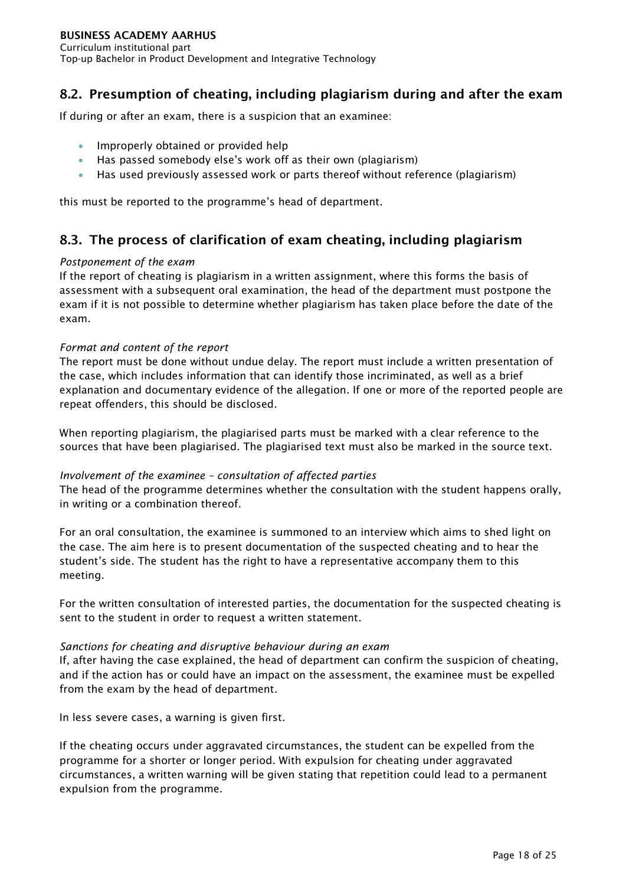# <span id="page-18-0"></span>**8.2. Presumption of cheating, including plagiarism during and after the exam**

If during or after an exam, there is a suspicion that an examinee:

- Improperly obtained or provided help
- Has passed somebody else's work off as their own (plagiarism)
- Has used previously assessed work or parts thereof without reference (plagiarism)

this must be reported to the programme's head of department.

### <span id="page-18-1"></span>**8.3. The process of clarification of exam cheating, including plagiarism**

#### *Postponement of the exam*

If the report of cheating is plagiarism in a written assignment, where this forms the basis of assessment with a subsequent oral examination, the head of the department must postpone the exam if it is not possible to determine whether plagiarism has taken place before the date of the exam.

#### *Format and content of the report*

The report must be done without undue delay. The report must include a written presentation of the case, which includes information that can identify those incriminated, as well as a brief explanation and documentary evidence of the allegation. If one or more of the reported people are repeat offenders, this should be disclosed.

When reporting plagiarism, the plagiarised parts must be marked with a clear reference to the sources that have been plagiarised. The plagiarised text must also be marked in the source text.

#### *Involvement of the examinee – consultation of affected parties*

The head of the programme determines whether the consultation with the student happens orally, in writing or a combination thereof.

For an oral consultation, the examinee is summoned to an interview which aims to shed light on the case. The aim here is to present documentation of the suspected cheating and to hear the student's side. The student has the right to have a representative accompany them to this meeting.

For the written consultation of interested parties, the documentation for the suspected cheating is sent to the student in order to request a written statement.

#### *Sanctions for cheating and disruptive behaviour during an exam*

If, after having the case explained, the head of department can confirm the suspicion of cheating, and if the action has or could have an impact on the assessment, the examinee must be expelled from the exam by the head of department.

In less severe cases, a warning is given first.

If the cheating occurs under aggravated circumstances, the student can be expelled from the programme for a shorter or longer period. With expulsion for cheating under aggravated circumstances, a written warning will be given stating that repetition could lead to a permanent expulsion from the programme.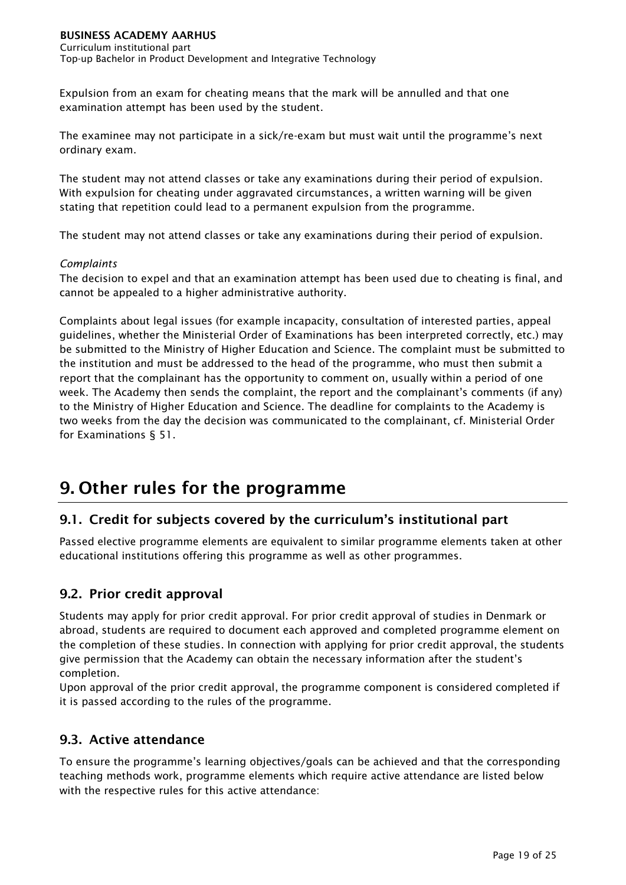Expulsion from an exam for cheating means that the mark will be annulled and that one examination attempt has been used by the student.

The examinee may not participate in a sick/re-exam but must wait until the programme's next ordinary exam.

The student may not attend classes or take any examinations during their period of expulsion. With expulsion for cheating under aggravated circumstances, a written warning will be given stating that repetition could lead to a permanent expulsion from the programme.

The student may not attend classes or take any examinations during their period of expulsion.

#### *Complaints*

The decision to expel and that an examination attempt has been used due to cheating is final, and cannot be appealed to a higher administrative authority.

Complaints about legal issues (for example incapacity, consultation of interested parties, appeal guidelines, whether the Ministerial Order of Examinations has been interpreted correctly, etc.) may be submitted to the Ministry of Higher Education and Science. The complaint must be submitted to the institution and must be addressed to the head of the programme, who must then submit a report that the complainant has the opportunity to comment on, usually within a period of one week. The Academy then sends the complaint, the report and the complainant's comments (if any) to the Ministry of Higher Education and Science. The deadline for complaints to the Academy is two weeks from the day the decision was communicated to the complainant, cf. Ministerial Order for Examinations § 51.

# <span id="page-19-0"></span>**9. Other rules for the programme**

# <span id="page-19-1"></span>**9.1. Credit for subjects covered by the curriculum's institutional part**

Passed elective programme elements are equivalent to similar programme elements taken at other educational institutions offering this programme as well as other programmes.

# <span id="page-19-2"></span>**9.2. Prior credit approval**

Students may apply for prior credit approval. For prior credit approval of studies in Denmark or abroad, students are required to document each approved and completed programme element on the completion of these studies. In connection with applying for prior credit approval, the students give permission that the Academy can obtain the necessary information after the student's completion.

Upon approval of the prior credit approval, the programme component is considered completed if it is passed according to the rules of the programme.

# <span id="page-19-3"></span>**9.3. Active attendance**

To ensure the programme's learning objectives/goals can be achieved and that the corresponding teaching methods work, programme elements which require active attendance are listed below with the respective rules for this active attendance: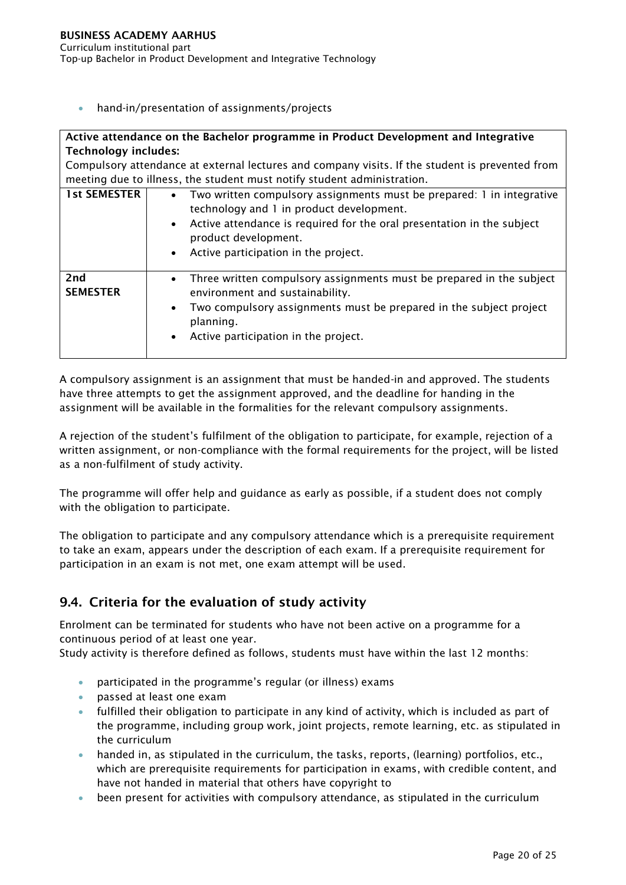hand-in/presentation of assignments/projects

#### **Active attendance on the Bachelor programme in Product Development and Integrative Technology includes:**

Compulsory attendance at external lectures and company visits. If the student is prevented from meeting due to illness, the student must notify student administration.

| <b>1st SEMESTER</b>    | • Two written compulsory assignments must be prepared: 1 in integrative<br>technology and 1 in product development.<br>• Active attendance is required for the oral presentation in the subject<br>product development.<br>• Active participation in the project. |
|------------------------|-------------------------------------------------------------------------------------------------------------------------------------------------------------------------------------------------------------------------------------------------------------------|
| 2nd<br><b>SEMESTER</b> | Three written compulsory assignments must be prepared in the subject<br>$\bullet$<br>environment and sustainability.<br>Two compulsory assignments must be prepared in the subject project<br>$\bullet$<br>planning.<br>Active participation in the project.      |

A compulsory assignment is an assignment that must be handed-in and approved. The students have three attempts to get the assignment approved, and the deadline for handing in the assignment will be available in the formalities for the relevant compulsory assignments.

A rejection of the student's fulfilment of the obligation to participate, for example, rejection of a written assignment, or non-compliance with the formal requirements for the project, will be listed as a non-fulfilment of study activity.

The programme will offer help and guidance as early as possible, if a student does not comply with the obligation to participate.

The obligation to participate and any compulsory attendance which is a prerequisite requirement to take an exam, appears under the description of each exam. If a prerequisite requirement for participation in an exam is not met, one exam attempt will be used.

# <span id="page-20-0"></span>**9.4. Criteria for the evaluation of study activity**

Enrolment can be terminated for students who have not been active on a programme for a continuous period of at least one year.

Study activity is therefore defined as follows, students must have within the last 12 months:

- participated in the programme's regular (or illness) exams
- passed at least one exam
- fulfilled their obligation to participate in any kind of activity, which is included as part of the programme, including group work, joint projects, remote learning, etc. as stipulated in the curriculum
- handed in, as stipulated in the curriculum, the tasks, reports, (learning) portfolios, etc., which are prerequisite requirements for participation in exams, with credible content, and have not handed in material that others have copyright to
- been present for activities with compulsory attendance, as stipulated in the curriculum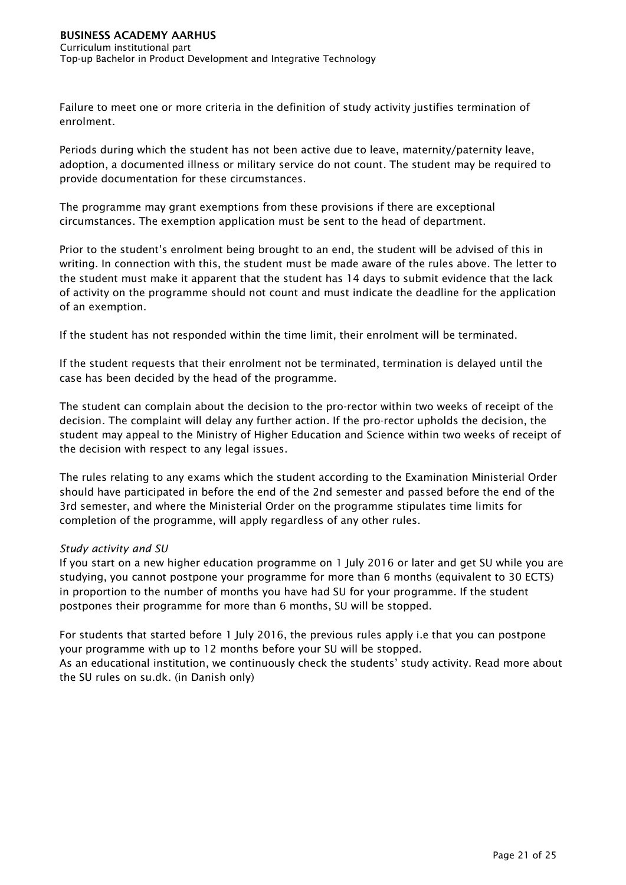Failure to meet one or more criteria in the definition of study activity justifies termination of enrolment.

Periods during which the student has not been active due to leave, maternity/paternity leave, adoption, a documented illness or military service do not count. The student may be required to provide documentation for these circumstances.

The programme may grant exemptions from these provisions if there are exceptional circumstances. The exemption application must be sent to the head of department.

Prior to the student's enrolment being brought to an end, the student will be advised of this in writing. In connection with this, the student must be made aware of the rules above. The letter to the student must make it apparent that the student has 14 days to submit evidence that the lack of activity on the programme should not count and must indicate the deadline for the application of an exemption.

If the student has not responded within the time limit, their enrolment will be terminated.

If the student requests that their enrolment not be terminated, termination is delayed until the case has been decided by the head of the programme.

The student can complain about the decision to the pro-rector within two weeks of receipt of the decision. The complaint will delay any further action. If the pro-rector upholds the decision, the student may appeal to the Ministry of Higher Education and Science within two weeks of receipt of the decision with respect to any legal issues.

The rules relating to any exams which the student according to the Examination Ministerial Order should have participated in before the end of the 2nd semester and passed before the end of the 3rd semester, and where the Ministerial Order on the programme stipulates time limits for completion of the programme, will apply regardless of any other rules.

#### *Study activity and SU*

If you start on a new higher education programme on 1 July 2016 or later and get SU while you are studying, you cannot postpone your programme for more than 6 months (equivalent to 30 ECTS) in proportion to the number of months you have had SU for your programme. If the student postpones their programme for more than 6 months, SU will be stopped.

For students that started before 1 July 2016, the previous rules apply i.e that you can postpone your programme with up to 12 months before your SU will be stopped. As an educational institution, we continuously check the students' study activity. Read more about the SU rules on su.dk. (in Danish only)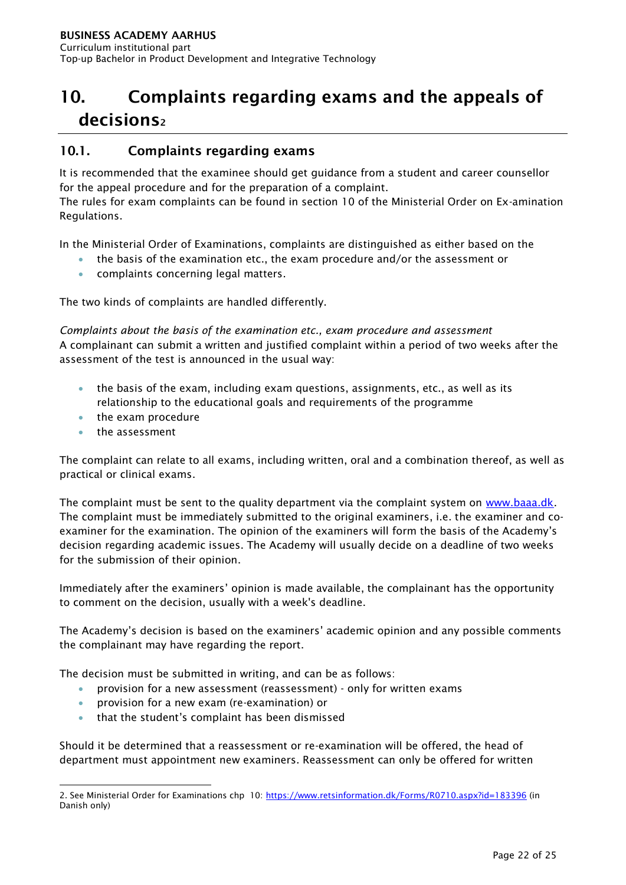# <span id="page-22-0"></span>**10. Complaints regarding exams and the appeals of decisions<sup>2</sup>**

### <span id="page-22-1"></span>**10.1. Complaints regarding exams**

It is recommended that the examinee should get guidance from a student and career counsellor for the appeal procedure and for the preparation of a complaint.

The rules for exam complaints can be found in section 10 of the Ministerial Order on Ex-amination Regulations.

In the Ministerial Order of Examinations, complaints are distinguished as either based on the

- the basis of the examination etc., the exam procedure and/or the assessment or
- **•** complaints concerning legal matters.

The two kinds of complaints are handled differently.

*Complaints about the basis of the examination etc., exam procedure and assessment* A complainant can submit a written and justified complaint within a period of two weeks after the assessment of the test is announced in the usual way:

- the basis of the exam, including exam questions, assignments, etc., as well as its relationship to the educational goals and requirements of the programme
- the exam procedure
- the assessment

The complaint can relate to all exams, including written, oral and a combination thereof, as well as practical or clinical exams.

The complaint must be sent to the quality department via the complaint system on [www.baaa.dk.](http://www.eaaa.dk/) The complaint must be immediately submitted to the original examiners, i.e. the examiner and coexaminer for the examination. The opinion of the examiners will form the basis of the Academy's decision regarding academic issues. The Academy will usually decide on a deadline of two weeks for the submission of their opinion.

Immediately after the examiners' opinion is made available, the complainant has the opportunity to comment on the decision, usually with a week's deadline.

The Academy's decision is based on the examiners' academic opinion and any possible comments the complainant may have regarding the report.

The decision must be submitted in writing, and can be as follows:

- provision for a new assessment (reassessment) only for written exams
- provision for a new exam (re-examination) or
- that the student's complaint has been dismissed

Should it be determined that a reassessment or re-examination will be offered, the head of department must appointment new examiners. Reassessment can only be offered for written

<sup>-</sup>2. See Ministerial Order for Examinations chp 10:<https://www.retsinformation.dk/Forms/R0710.aspx?id=183396> (in Danish only)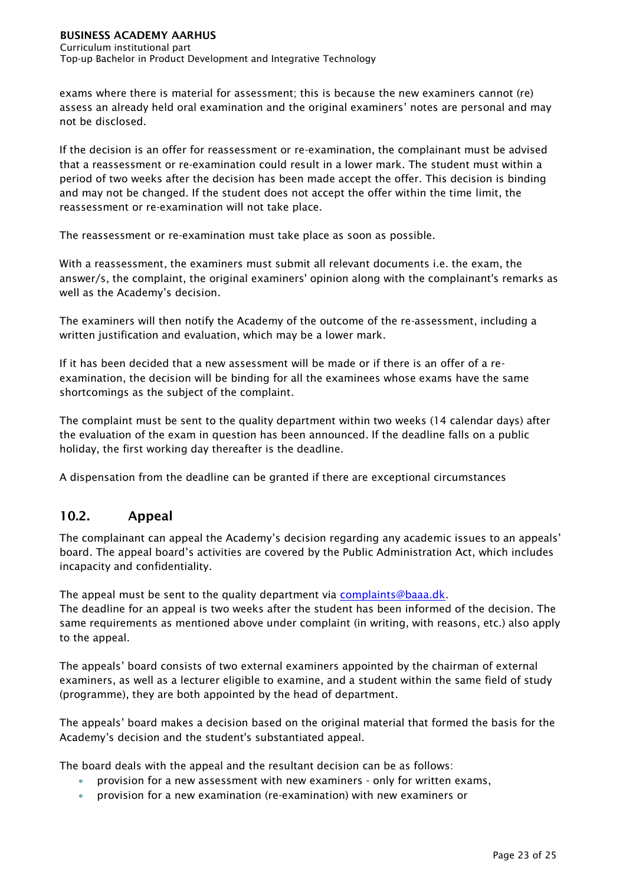Curriculum institutional part Top-up Bachelor in Product Development and Integrative Technology

exams where there is material for assessment; this is because the new examiners cannot (re) assess an already held oral examination and the original examiners' notes are personal and may not be disclosed.

If the decision is an offer for reassessment or re-examination, the complainant must be advised that a reassessment or re-examination could result in a lower mark. The student must within a period of two weeks after the decision has been made accept the offer. This decision is binding and may not be changed. If the student does not accept the offer within the time limit, the reassessment or re-examination will not take place.

The reassessment or re-examination must take place as soon as possible.

With a reassessment, the examiners must submit all relevant documents i.e. the exam, the answer/s, the complaint, the original examiners' opinion along with the complainant's remarks as well as the Academy's decision.

The examiners will then notify the Academy of the outcome of the re-assessment, including a written justification and evaluation, which may be a lower mark.

If it has been decided that a new assessment will be made or if there is an offer of a reexamination, the decision will be binding for all the examinees whose exams have the same shortcomings as the subject of the complaint.

The complaint must be sent to the quality department within two weeks (14 calendar days) after the evaluation of the exam in question has been announced. If the deadline falls on a public holiday, the first working day thereafter is the deadline.

A dispensation from the deadline can be granted if there are exceptional circumstances

# <span id="page-23-0"></span>**10.2. Appeal**

The complainant can appeal the Academy's decision regarding any academic issues to an appeals' board. The appeal board's activities are covered by the Public Administration Act, which includes incapacity and confidentiality.

The appeal must be sent to the quality department via [complaints@baaa.dk.](mailto:klager@eaaa.dk) The deadline for an appeal is two weeks after the student has been informed of the decision. The same requirements as mentioned above under complaint (in writing, with reasons, etc.) also apply to the appeal.

The appeals' board consists of two external examiners appointed by the chairman of external examiners, as well as a lecturer eligible to examine, and a student within the same field of study (programme), they are both appointed by the head of department.

The appeals' board makes a decision based on the original material that formed the basis for the Academy's decision and the student's substantiated appeal.

The board deals with the appeal and the resultant decision can be as follows:

- provision for a new assessment with new examiners only for written exams,
- provision for a new examination (re-examination) with new examiners or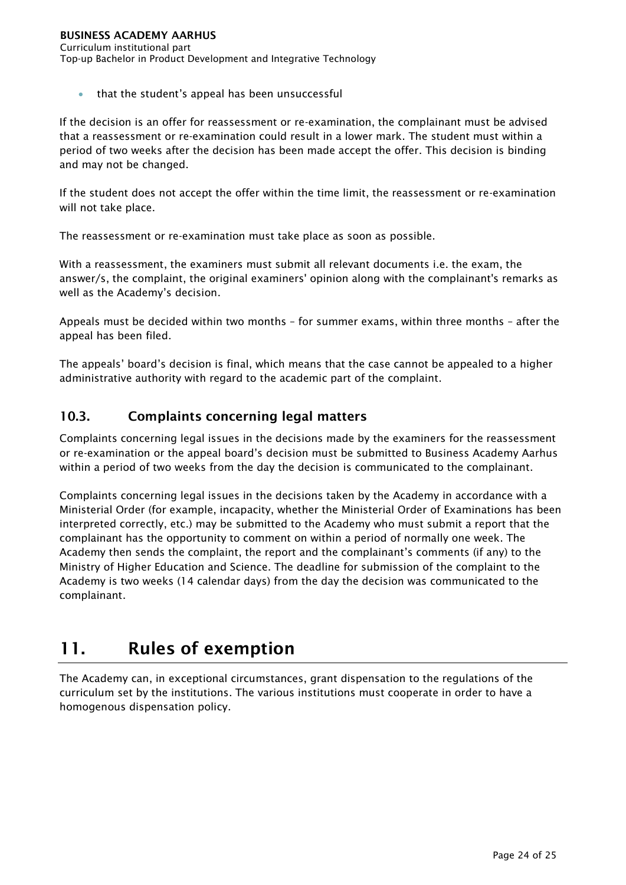that the student's appeal has been unsuccessful

If the decision is an offer for reassessment or re-examination, the complainant must be advised that a reassessment or re-examination could result in a lower mark. The student must within a period of two weeks after the decision has been made accept the offer. This decision is binding and may not be changed.

If the student does not accept the offer within the time limit, the reassessment or re-examination will not take place.

The reassessment or re-examination must take place as soon as possible.

With a reassessment, the examiners must submit all relevant documents i.e. the exam, the answer/s, the complaint, the original examiners' opinion along with the complainant's remarks as well as the Academy's decision.

Appeals must be decided within two months – for summer exams, within three months – after the appeal has been filed.

The appeals' board's decision is final, which means that the case cannot be appealed to a higher administrative authority with regard to the academic part of the complaint.

### <span id="page-24-0"></span>**10.3. Complaints concerning legal matters**

Complaints concerning legal issues in the decisions made by the examiners for the reassessment or re-examination or the appeal board's decision must be submitted to Business Academy Aarhus within a period of two weeks from the day the decision is communicated to the complainant.

Complaints concerning legal issues in the decisions taken by the Academy in accordance with a Ministerial Order (for example, incapacity, whether the Ministerial Order of Examinations has been interpreted correctly, etc.) may be submitted to the Academy who must submit a report that the complainant has the opportunity to comment on within a period of normally one week. The Academy then sends the complaint, the report and the complainant's comments (if any) to the Ministry of Higher Education and Science. The deadline for submission of the complaint to the Academy is two weeks (14 calendar days) from the day the decision was communicated to the complainant.

# <span id="page-24-1"></span>**11. Rules of exemption**

The Academy can, in exceptional circumstances, grant dispensation to the regulations of the curriculum set by the institutions. The various institutions must cooperate in order to have a homogenous dispensation policy.